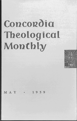# Concordia **Theological Monthly**



MAY ·1959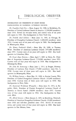### INFORMATION ON PRESIDENTS OF EIGHT BODIES PARTICIPATING IN NATIONAL LUTHERAN COUNCIL

Dr. Franklin Clark Fry. - Born August 30, 1900, in Bethlehem, Pa. President of United Lutheran Church in America (2,396,000 members) since 1944. Served six two-year terms, and current term of six years will expire in 1962. Has headquarters in New York City.

*Dr. Fredrik Axel Schiotz.-Born* June 15, 1901, in Chicago, Ill. President of Evangelical Lutheran Church (1,083,000 members) since 1954. Current term of six years will expire in 1960. Has headquarters in Minneapolis, Minn.

Dr. Henry Frederick Schub. - Born May 30, 1890, in Tacoma, Wash. President of American Lutheran Church (973,000 members) since 1951. Current term of six years will expire in 1962. Has headquarters in Columbus, Ohio.

*Dr. Oscar Algot Benson.-Born* April 7, 1891 in Derry, Pa. President of Augustana Lutheran Church (576,000 members) since 1951. Current term of four years will expire in 1959. Has headquarters in Minneapolis, Minn.

*Dr. John M. Stensvaag.-Born* June 1, 1911, in Bergen, Norway. President of Lutheran Free Church (77,000 members) since Oct. 1, 1958. Current term of three years will expire in 1961. Has headquarters in Minneapolis, Minn.

Dr. William Larsen. - Born May 19, 1909, in Racine County, Wis. President of United Evangelical Lutheran Church (65,000 members) since 1956. Current term of three years will expire in 1959. Has headquarters in Blair, Nebr.

Dr. Raymond Waldemar Wargelin. - Born June 25, 1911, in Republic, Mich. President of Finnish Evangelical Lutheran Church of America or Suomi Synod (38,000 members) since 1955. Current term of four years will expire in 1962. Has headquarters in Hancock, Mich.

Dr. Alfred Jensen. - Born January 6, 1893, in Brenderup, Denmark. President of American Evangelical Lutheran Church (23,000 members) since 1936 and full-time president since 1942. Served 10 two-year terms, and current term of four years will expire in 1960. Has headquarters in Des Moines, Iowa.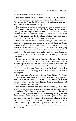#### STUDY MEETINGS IN HOME MISSIONS

The News Bureau of the National Lutheran Council reports as follows on an article written by Dr. William H. Hillmer, Executive Secretary of the Board for Missions in North and South America of The Lutheran Church - Missouri Synod.

The long-range Lutheran commitment to plant a church in every U.S. community of sorts got a rocket boost from a recent series of meetings between regional mission leaders of the National Lutheran Council and of The Lutheran Church - Missouri Synod. The meetings, 13 in number and labeled Home Mission Study Conferences, began last September and extended into the new year.

The purpose of the meetings was to encourage a consultative relationship between the regional committees of the NLC and the District mission boards of the Missouri Synod in the interest of Lutheran expansion without wasteful duplication. Consultations had been going on in certain areas for some time, but they depended entirely on the good will of the individuals who were involved. Now consultation has been elevated to the status of a policy that has been put to its first official test.

Several years ago the Division of American Missions of the National Lutheran Council informed the Home Mission Department of the Missouri Synod that some of its District mission boards were conferring informally, some more formally, with the regional committees of the National Lutheran Council and that the Division desired to know whether this had the approval of The Lutheran Church - Missouri Synod.

The matter was referred to the General Home Mission Conference of the Missouri Synod in early 1957, which was attended by representatives of all of the synodical Districts. To this conference a policy statement prepared by the Home Mission Board in consultation with the President of Synod was submitted.

The statement asserted the propriety of conferring with other churches in the placement of new Lutheran churches because the number and type of churches in a given area have a direct bearing on the growth of the proposed mission. Such conferring takes place with sister churches, with Protestant churches, and especially with other Lutheran bodies for the purpose of ascertaining whether a given locality really needs a Lutheran church. New churches should be planted where they are demonstrably needed. The need cannot be determined except in consultation with the churches that are already at work there.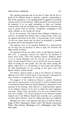The expected population rise in the next 25 years will tax the capacity of the Missouri Synod to maintain a growth corresponding to that of the population, to say nothing about an aggressive missionary outreach which the times demand. Hence manpower and money should be conserved. It is not good stewardship to plant two Lutheran churches where only one is needed and to deprive other areas that may stand in greater need of churches. Competitive overlapping is bad public relations in and outside the church.

So far the document. The General Home Mission Conference resolved to recommend that District home mission boards confer with the regional committees of the NLC in the planning of new churches "so that our church plants may be placed as strategically as possible for present and future expansion of the work."

The resolution went to the synodical President for a determination of "the steps that are necessary in order to make the resolution the official policy of Synod."

The resolution became the official policy of the Missouri Synod in May 1957. A postscript, however, was added by the President of Synod which reads: "Since The Lutheran Church - Missouri Synod is not in church fellowship with the churches of the National Lutheran Council, Synod's District mission boards still have the responsibility of serving our own people (and this may mean starting new places) where there is a concentration of such people and, therefore, the final determination for the opening of new places rests with Synod's District mission boards."

The District mission boards as well as the Division of American Missions of the NLC received copies of the statement, whereupon the latter initiated its arrangements for the study conferences.

The program of the conferences followed a pattern. Statements were read by representatives of the Division of American Missions and of the Missouri Synod Board for Home Missions in clarification of the purposes of the meeting. Then followed a county-by-county analysis of the religious character of the state in which the study conference took place. Other studies pertaining to the area were presented when they were available. The mission programs of the National Lutheran Council and of the Missouri Synod were reviewed, and a projection of future plans followed. Areas for further discussion were explored.

Meetings were held, in the sequence here given, at Buffalo; Detroit; Fargo, N. Dak.; Minneapolis; Fresno, Calif.; Des Moines; Kennewick, Wash.; Ohio; Florida; Washington, D. c.; Philadelphia; New York; New Jersey.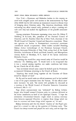#### BRIEF ITEMS FROM RELIGIOUS NEWS SERVICE

*New York.* - Protestant and Orthodox leaders in this country reacted with mingled praise and caution to the announcement by Pope John XXIII that he will convene an ecumenical council to discuss ways of bringing about Christian unity. The American churchmen, while welcoming any effort toward unity, preferred to adopt a waiting attitude until they had studied the significance of the pontiff's announcement.

Among prominent Protestants expressing views were Dr. Edwin T. Dahlberg of St. Louis, Mo., president of the National Council of Churches; and Dr. Franklin Clark Fry of New York, chairman of the World Council of Churches' Central and Executive committees. These two agencies are leaders in Protestantism's ecumenical movement (worldwide church co-operation). Other leaders included Presiding Bishop Arthur Lichtenberger of the Protestant Episcopal Church; Bishop Germanos Polizoides of New York, acting head of the Greek Orthodox Archdiocese of North and South America; and Metropolitan Antony Bashir of Brooklyn, N. Y, head of the Syrian Antiochian Orthodox Church.

"Anything that would be a step toward unity of Churches would be welcome," Dr. Dahlberg said. "It would have to be recognized that it was a mutual coming together, not under conditions laid down by one Church for all the others.

"Any movement toward unity cannot be looked upon by Protestants as separated Christians returning to the Church of Rome.

"Anything that would bring together all the Churches of Christ would be blessed of God."

Dr. Fry said he would make no official statement until he had studied a text of the pope's statement from the Vatican. "If this official statement warrants," he said, "the matter will probably be discussed at a meeting of the World Council of Churches' Executive Committee in Geneva, Feb. 9-13."

Pope John's announcement was "welcomed" by Bishop Lichtenberger, who himself stressed Christian unity in a sermon delivered at his recent installation as head of the Episcopal Church. "I hope the convention (Ecumenical Council) might result in serious conversations between separated Churches to explore those things which we have in common and those things which separate us," he said.

Bishop Germanos said that his church "rejoices in" the Pope's proposal for a council to take up the question of Christian unity. "Our Church has always wanted and prayed for such unity, and we hope that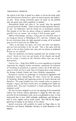the appeal of the Pope is based on a desire to discuss the many problems and doctrines involved in a spirit of mutual equality and respect," he said. "Unity among Christians cannot be based on the premise that one group must yield completely to another."

Metropolitan Bashir said there is "no reason" why the apostolic churches should be divided. "There is only one Holy Apostolic Church," he said. "Its differences could be ironed out in ecumenical councils, Our peoples of the East are always willing to welcome such moves, provided they are sincere. Let us hope it will do some good."

Bishop Lichtenberger, voicing a strong plea for Christian unity in his inaugural sermon in Washington, D.C., said that "whatever may be our convictions about the right approach to unity, all of us should pray that the Church may be visibly one.

"There is one body, one spirit, one Lord, one faith, one baptism, and one God and Father of all," he said. "This is the unity God has given us, but we have broken that unity and our witness is weakened because we are divided."

After his installation the bishop explained that the reunion of the church "should not leave out any branch of the Church and should not be merely a reunion of the Churches which came out of the Reformation."

Vatican City. - Pope John XXIII, in a move regarded as of epochal importance by religious leaders everywhere, announced his intention of convoking an ecumenical, or general, council, one of the chief purposes of which will be to study ways of bringing about unity between the Roman Catholic Church and other Christian communities.

Ecumenical councils are gatherings of ecclesiastical dignitaries and theological experts representing the entire church for the purpose of discussing, defining, and regulating matters of church doctrine and discipline. The pope presides over such councils either in person or through a legate, and their decrees have no binding force unless he confirms them. The word "ecumenical" is Greek and means "from the inhabited world."

No date has been assigned as yet for the opening of the ecumenical council, but Vatican sources speculated it might be held this year, provided all the preliminary work can be accomplished in time. It was anticipated that at least 2,000 cardinals, archbishops, and bishops, as well as other eligible clerics, would attend. This will be the largest gathering of bishops in the history of the church.

Special invitations will probably be issued by Pope John to the Protestant and Eastern Orthodox churches to send observers to the sessions.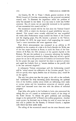(In Geneva, Dr. W. A. Visser 't Hooft, general secretary of the World Council of Churches, commenting on the projected ecumenical council, said: "It illustrates the importance which the problem of unity has assumed in our times. It is too early to make any further comment. But, of course, we are especially interested in the question of how ecumenical this council will be.")

The ecumenical council will be the first since the Vatican Council of 1869-1870, at which the doctrine of papal infallibility was proclaimed. This council never actually adjourned but was suspended six weeks after Piedmontese troops entered the States of the Church and the reigning pope, *Pius* IX, became a prisoner in the Vatican. On October 20, 1870, the pope issued a bull suspending the council "until a more convenient and more opportune time."

Pope John's announcement was contained in an address to 20 cardinals on the occasion of a visit to St. Paul's Outside the Walls, one of the four major basilicas in Rome, to mark the Feast of the Conversion of St. Paul, the 19th centenary of the apostle's Epistle to the Romans. He met the cardinals in a monastery adjoining the basilica, where he had previously attended a Solemn Mass and recited a special prayer for an end to the persecution of Catholics in Communist China. In this prayer the pope also reasserted his claim to spiritual primacy and urged the Catholic flock to "remain obedient to the pontiff, who *is* the one universal shepherd."

A subsequent Vatican communique said the forthcoming council will be "aimed toward the edification of the Christian people," but it did not specify what topics, besides that of Christian unity, would be on the agenda.

The only hint given was that the pope, in his talk to the cardinals, had "underlined the daily increasing perils threatening the spiritual lives of the faithful, notably errors which are infiltrating their ranks at various points and the immoderate attraction of material goods, which have increased more than ever with the advent of technical progress."

Pope John, who spoke to the Cardinals in Latin, also announced the calling this year of a synod, or ecclesiastical council, of the clergy of the Rome diocese "to discuss the grave problems and increasing danger to the spiritual life" of Rome's two million population. Another major project, he disclosed, was to bring the code of canon law up to date and to publish for the Eastern, or Oriental Church, a separate code which has been under study.

The calling of the ecumenical council was the most dramatic move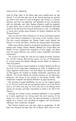made by Pope John in the fewer than three months since he was elected. It is said here that one of the factors favoring his election was that he had spent 20 years in Bulgaria and Turkey as a Vatican diplomat and thus was especially well informed on how Catholicism and the Orthodox and other Eastern Churches could be reunited. A major effort now to reunite the Catholic and Orthodox Churches would be the first since the Council of Florence in 1439-43 attempted to bring about lasting union between the Eastern dissidents and the Western Church.

Since the first one held at Nicaea in 325 all the ecumenical councils have been historic landmarks in the history of the Catholic Church. The first council developed the Nicene Creed, which defined the divinity of Christ and fixed a formula for dating Easter observances.

Other major decrees issued by ecumenical councils have condemned, among other things, various heresies, declared the Virgin Mary the Mother of God, regulated the veneration of holy images, laid down rules for papal elections, and ordered annual confession and Easter Communion.

The Council of Trent, the 19th and the longest in session, launched the Catholic Counter Reformation against the rise of Protestantism by issuing canons and decrees defining Catholic belief on matters of faith and practice.

The last ecumenical council opened in St. Peter's Basilica on Dec. 8, the Feast of the Immaculate Conception, in 1869. It resulted in two major dogmatic constitutions. The first defined the Catholic doctrine on faith against the heresies of modern rationalism, materialism, and atheism. The second defined the Catholic doctrine on the institution, perpetuity, and nature of the primacy of the Roman Pontiff. This constitution contained the famous definition of papal supremacy.

The doctrine of papal infallibility was not on the original agenda of the Vatican Council and was not brought before it until the fourth session. In a final vote, July 18, 1870, only two of the bishops voted against the decision, and these immediately acceded to the will of the majority.

Although the Vatican Council remained unfinished, it was regarded as of great significance for having raised the moral prestige of the church at a time when the state was seen attempting to control all aspects of a country's life, including its religion, and anti-Christian influences were everywhere rampant.

The Vatican Council was over four years in preparation. It had been first discussed by Pope Pius IX in March 1865, when he con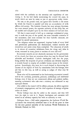sulted with the cardinals on the necessity and expediency of convening it. In his bull finally summoning the council the pope, in words which are seen by many as just as appropriate today, wrote:

"No one, at the present time, can ignore how horrible is the storm by which the Church is assailed and what an accumulation of evils afflicts civil society. The Catholic Church, her most salutary doctrines, her most revered power, the supreme authority of this Holy See, are all assailed and trampled upon by the bitter enemies of God and man.

"All that is most sacred is held up to contempt; ecclesiastical property is made the prey of the spoiler; the most venerable ministers of the sacraments, men most eminent for their Catholic character, are harassed by untold annoyances.

"The religious orders are suppressed, impious books of every kind and pestilential publications are disseminated, wicked societies are everywhere and under every form multiplied. The education of youth is, in almost all countries, withdrawn from the clergy and, what is worse, entrusted in many places to teachers of error and evil."

Ecumenical councils are not absolutely necessary for the government of the church, but there are occasions when they may be deemed both advisable and beneficial. Catholic theologians hold that the pope, being neither the recipient of private revelation nor divinely inspired, is morally bound to employ all available human means in his investigations. Accordingly, they state, he is much helped in discovering the content of the deposit of faith by consultation with the bishops, who aid him in this way, as well as acting as judges of what may be decided.

Those who will be summoned to the forthcoming ecumenical council will be the cardinals, patriarchs, primates, archbishops and residential bishops, even if they are not consecrated, abbots and prelates *nullius,*  meaning ecclesiastics who rule over a territory not embraced in any episcopal diocese.

Also called to the council will be abbots primate, the abbot superiors of monastic congregations, and the chief superiors of exempt religious orders of clerics.

Titular bishops may also be called to the council, and they will have the right to vote in it. Expert theologians and canonists will attend in an advisory capacity but with no authority to vote.

*Dubuque, Iowa.* - Still under preparation, the *Lutheran World Encyclopedia* was tentatively scheduled here to be off the press in time for the next general assembly of the Lutheran World Federation in Helsinki, Finland, in 1963.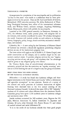Arrangements for completion of the encyclopedia and its publication "in four to five years" were made at a conference here by three principals involved in the project. They are Dr. Carl Lund-Quist of Geneva, Switzerland, LWF executive secretary; Dr. Julius Bodensieck of Wartburg Theological Seminary here, editor of the international reference work; and William Gentz, assistant manager, Augsburg Publishing House, Minneapolis, which will publish the encyclopedia.

Launched at the LWF general assembly in Hannover, Germany, in 1952, the reference work, under present plans, will comprise five or six volumes, with articles contributed by some 750 scholars throughout the world. Contents will include articles on such subjects as theology, history, biography, polity, liturgy, church activities, ecumenical relationships, and statistics.

*Columbia, Mo.-A* new ruling by the University of Missouri Board of Curators has reversed a decade-old regulation prohibiting religious services on any of the institution's property here.

The latest action will apply to the \$130,000 A. P. Green Chapel, now under construction on the campus, and to another chapel in the university's medical center. It permits religious services but not "regular, recurring services of anyone group" and stipulates that "no advantage shall be given to any religious group over others."

Dr. Thomas Brady, dean of extradivisional administration at the university, pointed out that the restriction on "regular, recurring" services is to avoid limiting the use of a chapel to anyone group of students.

## BRIEF ITEMS FROM THE NEWS BUREAU OF THE NATIONAL LUTHERAN COUNCIL

*Milwaukee.* - A study has found that Lutheran colleges and theological seminaries in the United States and Canada "reflect a wholesome and agreeable atmosphere" in race relations. Results of a survey of the cultural and racial practices of Lutheran institutions of higher learning were disclosed here at the 41st annual meeting of the National Lutheran Council. It showed that some 400 to 500 "minority" students of 10 cultures and colors different from the dominant Nordic Caucasian group have spent 1,526 academic years in Lutheran colleges and seminaries since 1950.

Jewish students accounted for 569 academic years, Negroes for 501 years, Mexican Americans 55, Indian Americans 54, Japanese and Chinese, 48 each, other Orientals 122, Puerto Ricans 37, and others of marked cultural and racial differences 92.

"It is to the credit of our Lutheran schools that these good people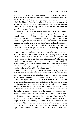of other cultures and colors have enjoyed normal acceptance on the part of their fellow students and the faculty," commented the Rev. AH M. Kraabel of Chicago, secretary for intercultural outreach in the NLC's Division of American Missions. The study was conducted by Mr. Kraabel's office and the Lutheran Human Relations Association of Valparaiso (Ind.) University, which is related to The Lutheran Church - Missouri Synod.

*Milwaukee.* - A leader in student work reported to the National Lutheran Council at its 41st annual meeting here that a change in attitude concerning religion has taken place on the campuses of America's colleges and universities. The "conspiracy of silence" of a decade ago, which left with students "the inference that God doesn't matter either in education or in life itself," seems to have been broken, said the Rev. A. Henry Hetland of Chicago. Now, he added, there is "renewed interest in the possibilities of religion restoring a sense of moral responsibility and high incentive to students."

Mr. Hetland, newly elected executive secretary of the NLC's Division of College and University Work, observed that so many educators want religion brought into academic life that "we must be on guard lest we be caught up in a fad that lacks discrimination." He said the possibilities of introducing courses in religion are being considered by an increasing number of administrators who "have taken courage from certain legal experts who profess to see no danger of church-state conflicts being touched off by these innovations."

"Only the fear of getting involved in interchurch squabbles has deterred them from more aggressive action, and for this reason they look rather hopefully in the direction of anything or any movement which promises a minimum of denominational jamming," he said.

Even more significant than the desire to introduce courses on religion in the curriculum, according to Mr. Hetland, is the fact that religion is being discussed within inner circles of the academic world. Reasons for this development are "rather obscure," he said, "but apparently the challenge to the imperialism of science ... has actually been made in the higher echelons of learning, and the bastions of scientism, positivism, instrumentalism, and objectivism have begun to show cracks."

*Milwaukee.* - More than \$86 million were spent last year by Lutheran health and welfare agencies in America to serve some 475,000 people in need. Dr. Henry J. Whiting, executive secretary of the Division of Welfare of the National Lutheran Council, reported the figures to the co-operative agency's 41st annual meeting here. Total expenditures amounted to \$86,127,373, of which \$11,502,937 was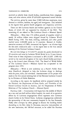received as subsidy from church bodies, contributions from congregations, and other sources, while \$74,624,436 represented earned income.

The services, given by more than 17,000 full-time employees, were directed to children, families, the aged, and immigrants. Also included in the figures were general health programs and chaplaincy activities.

There are 464 Lutheran health and welfare agencies in the United States, of which 401 are supported by churches of the NLC. The remaining 63 are related to The Lutheran Church - Missouri Synod.

*Milwaukee.-More* than 176 million pounds of supplies valued at nearly 18 million dollars were shipped abroad by Lutheran World Relief during 1958. The food, clothing, medicines, and other goods reached some 2,200,000 needy in 13 countries. Bernard A. Confer, executive secretary of LWR, announced the figures - an all-time high for the sixth consecutive year - in his report here to the 41st annual meeting of the National Lutheran Council.

He said this brings to 517,226,771 pounds the goods distributed in 29 countries and areas by Lutheran World Relief in its 13-year history. Total value of these shipments is estimated at \$95,132,695. LWR has served as the material aid agency of the eight church bodies participating in the Council since February 1946. The Board of World Relief of The Lutheran Church - Missouri Synod has co-operated in the program since 1953.

*Milwaukee.* - Work is now underway on a *Pastor's Public Relations Handbook,* designed to help the Lutheran clergy in dealings with the press, radio, and television. Announcement of the project was made at the 41st annual meeting here of the National Lutheran Council by its Division of Public Relations.

According to the report, the handbook will be prepared jointly by the Division, the Department of Press, Radio, and Television of the United Lutheran Church in America, and the Department of Public Relations of The Lutheran Church - Missouri Synod.

Pacoima, Calif. - Construction will begin here the middle of March on a two and one-half million dollar hospital, the result of co-operative efforts by 43 Lutheran congregations which represent nine Lutheran church bodies in the United States. Lutheran congregations undertook the sponsorship of the new community hospital in the San Fernando Valley after attempts by other groups to finance the building failed. According to the Rev. John G. Simmons, executive vice-president of the new institution, the 100-bed structure, to be called the Pacoima